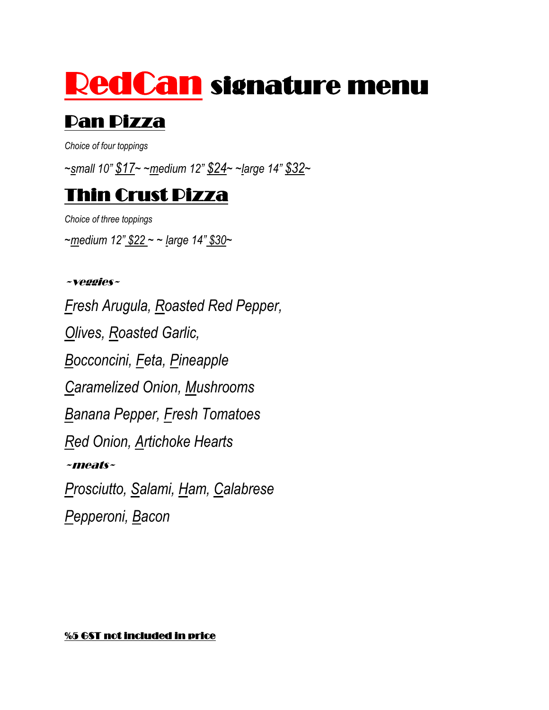# RedCan signature menu

## Pan Pizza

*Choice of four toppings*

*~small 10" \$17~ ~medium 12" \$24~ ~large 14" \$32~*

#### Thin Crust Pizza

*Choice of three toppings ~medium 12" \$22 ~ ~ large 14" \$30~*

#### ~veggies~

*Fresh Arugula, Roasted Red Pepper, Olives, Roasted Garlic, Bocconcini, Feta, Pineapple Caramelized Onion, Mushrooms Banana Pepper, Fresh Tomatoes Red Onion, Artichoke Hearts* ~meats~ *Prosciutto, Salami, Ham, Calabrese Pepperoni, Bacon*

#### %5 GST not included in price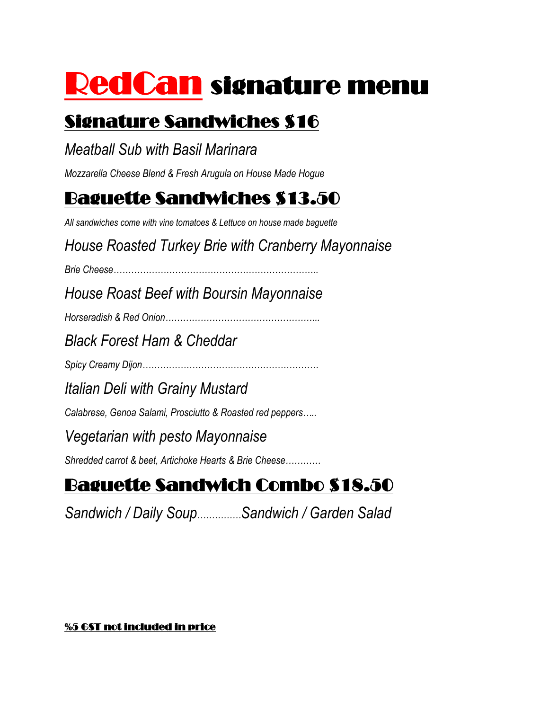# RedCan signature menu

### Signature Sandwiches \$16

#### *Meatball Sub with Basil Marinara*

*Mozzarella Cheese Blend & Fresh Arugula on House Made Hogue*

### Baguette Sandwiches \$13.50

*All sandwiches come with vine tomatoes & Lettuce on house made baguette*

*House Roasted Turkey Brie with Cranberry Mayonnaise*

*Brie Cheese…………………………………………………………….*

*House Roast Beef with Boursin Mayonnaise*

*Horseradish & Red Onion……………………………………………..*

*Black Forest Ham & Cheddar*

*Spicy Creamy Dijon……………………………………………………*

*Italian Deli with Grainy Mustard*

*Calabrese, Genoa Salami, Prosciutto & Roasted red peppers…..*

#### *Vegetarian with pesto Mayonnaise*

*Shredded carrot & beet, Artichoke Hearts & Brie Cheese…………*

# Baguette Sandwich Combo \$18.50

*Sandwich / Daily Soup……………Sandwich / Garden Salad* 

#### %5 GST not included in price